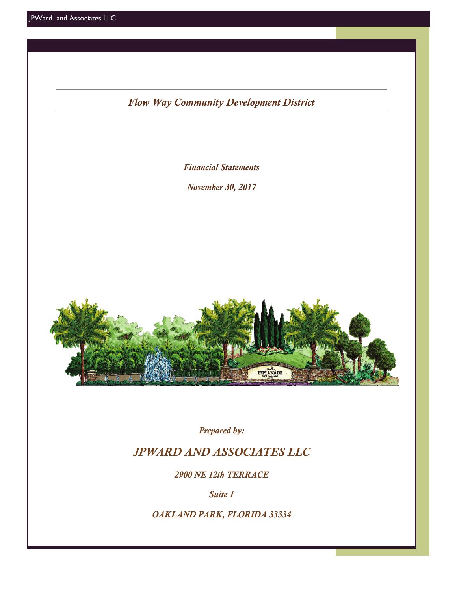*Flow Way Community Development District*

*Financial Statements* 

*November 30, 2017* 



*Prepared by:* 

# *JPWARD AND ASSOCIATES LLC*

*2900 NE 12th TERRACE* 

*Suite 1* 

*OAKLAND PARK, FLORIDA 33334*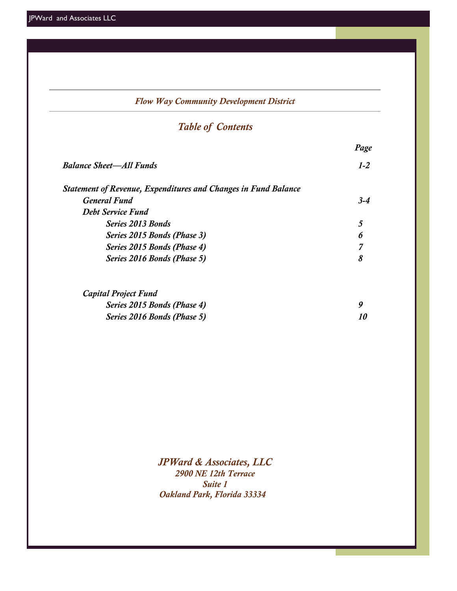| <b>Flow Way Community Development District</b> |  |  |  |  |  |  |  |  |  |
|------------------------------------------------|--|--|--|--|--|--|--|--|--|
|                                                |  |  |  |  |  |  |  |  |  |
| Page                                           |  |  |  |  |  |  |  |  |  |
| $1 - 2$                                        |  |  |  |  |  |  |  |  |  |
|                                                |  |  |  |  |  |  |  |  |  |
| $3 - 4$                                        |  |  |  |  |  |  |  |  |  |
|                                                |  |  |  |  |  |  |  |  |  |
| 5                                              |  |  |  |  |  |  |  |  |  |
| 6                                              |  |  |  |  |  |  |  |  |  |
| 7                                              |  |  |  |  |  |  |  |  |  |
| 8                                              |  |  |  |  |  |  |  |  |  |
|                                                |  |  |  |  |  |  |  |  |  |
| 9                                              |  |  |  |  |  |  |  |  |  |
| 10                                             |  |  |  |  |  |  |  |  |  |
|                                                |  |  |  |  |  |  |  |  |  |

*JPWard & Associates, LLC 2900 NE 12th Terrace Suite 1 Oakland Park, Florida 33334*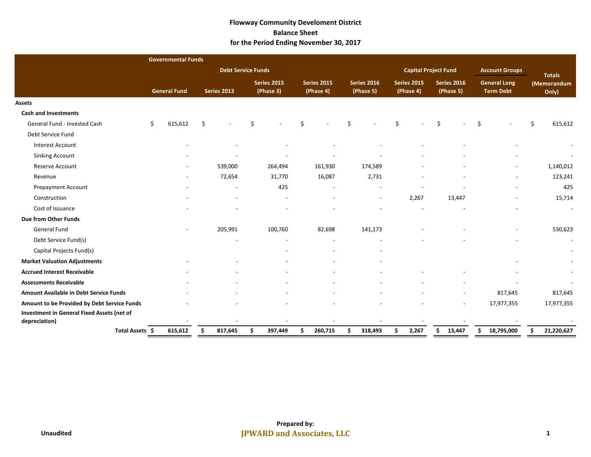### **Flowway Community Develoment District Balance Sheet for the Period Ending November 30, 2017**

|                                             |    | <b>Governmental Funds</b> |    |                           |                                 |    |                                 |    |                                 |                          |                             |                                 |        |                                         |                          |    |                      |
|---------------------------------------------|----|---------------------------|----|---------------------------|---------------------------------|----|---------------------------------|----|---------------------------------|--------------------------|-----------------------------|---------------------------------|--------|-----------------------------------------|--------------------------|----|----------------------|
|                                             |    |                           |    | <b>Debt Service Funds</b> |                                 |    |                                 |    |                                 |                          | <b>Capital Project Fund</b> |                                 |        | <b>Account Groups</b>                   |                          |    | <b>Totals</b>        |
|                                             |    | <b>General Fund</b>       |    | Series 2013               | <b>Series 2015</b><br>(Phase 3) |    | <b>Series 2015</b><br>(Phase 4) |    | <b>Series 2016</b><br>(Phase 5) | Series 2015<br>(Phase 4) |                             | <b>Series 2016</b><br>(Phase 5) |        | <b>General Long</b><br><b>Term Debt</b> |                          |    | (Memorandum<br>Only) |
| Assets                                      |    |                           |    |                           |                                 |    |                                 |    |                                 |                          |                             |                                 |        |                                         |                          |    |                      |
| <b>Cash and Investments</b>                 |    |                           |    |                           |                                 |    |                                 |    |                                 |                          |                             |                                 |        |                                         |                          |    |                      |
| General Fund - Invested Cash                | Ś. | 615,612                   | Š. |                           |                                 |    |                                 |    |                                 | Š.                       |                             | $\varsigma$                     |        | \$                                      |                          | \$ | 615,612              |
| Debt Service Fund                           |    |                           |    |                           |                                 |    |                                 |    |                                 |                          |                             |                                 |        |                                         |                          |    |                      |
| <b>Interest Account</b>                     |    |                           |    |                           |                                 |    |                                 |    |                                 |                          |                             |                                 |        |                                         |                          |    |                      |
| <b>Sinking Account</b>                      |    |                           |    |                           |                                 |    |                                 |    |                                 |                          |                             |                                 |        |                                         |                          |    |                      |
| Reserve Account                             |    |                           |    | 539,000                   | 264,494                         |    | 161,930                         |    | 174,589                         |                          |                             |                                 |        |                                         |                          |    | 1,140,012            |
| Revenue                                     |    | $\overline{\phantom{a}}$  |    | 72,654                    | 31,770                          |    | 16,087                          |    | 2,731                           |                          |                             |                                 |        |                                         | $\overline{\phantom{a}}$ |    | 123,241              |
| <b>Prepayment Account</b>                   |    |                           |    |                           | 425                             |    |                                 |    |                                 |                          |                             |                                 |        |                                         |                          |    | 425                  |
| Construction                                |    |                           |    |                           |                                 |    |                                 |    | $\overline{\phantom{a}}$        |                          | 2,267                       |                                 | 13,447 |                                         |                          |    | 15,714               |
| Cost of Issuance                            |    |                           |    |                           |                                 |    |                                 |    |                                 |                          |                             |                                 |        |                                         |                          |    |                      |
| Due from Other Funds                        |    |                           |    |                           |                                 |    |                                 |    |                                 |                          |                             |                                 |        |                                         |                          |    |                      |
| General Fund                                |    |                           |    | 205,991                   | 100,760                         |    | 82,698                          |    | 141,173                         |                          |                             |                                 |        |                                         |                          |    | 530,623              |
| Debt Service Fund(s)                        |    |                           |    |                           |                                 |    |                                 |    |                                 |                          |                             |                                 |        |                                         |                          |    |                      |
| Capital Projects Fund(s)                    |    |                           |    |                           |                                 |    |                                 |    |                                 |                          |                             |                                 |        |                                         |                          |    |                      |
| <b>Market Valuation Adjustments</b>         |    |                           |    |                           |                                 |    |                                 |    |                                 |                          |                             |                                 |        |                                         |                          |    |                      |
| <b>Accrued Interest Receivable</b>          |    |                           |    |                           |                                 |    |                                 |    |                                 |                          |                             |                                 |        |                                         |                          |    |                      |
| <b>Assessments Receivable</b>               |    |                           |    |                           |                                 |    |                                 |    |                                 |                          |                             |                                 |        |                                         |                          |    |                      |
| Amount Available in Debt Service Funds      |    |                           |    |                           |                                 |    |                                 |    |                                 |                          |                             |                                 |        |                                         | 817,645                  |    | 817,645              |
| Amount to be Provided by Debt Service Funds |    |                           |    |                           |                                 |    |                                 |    |                                 |                          |                             |                                 |        |                                         | 17,977,355               |    | 17,977,355           |
| Investment in General Fixed Assets (net of  |    |                           |    |                           |                                 |    |                                 |    |                                 |                          |                             |                                 |        |                                         |                          |    |                      |
| depreciation)                               |    |                           |    |                           |                                 |    |                                 |    |                                 |                          |                             |                                 |        |                                         |                          |    |                      |
| Total Assets \$                             |    | 615,612                   | S  | 817,645                   | \$<br>397,449                   | Ŝ. | 260,715                         | Ŝ. | 318,493                         | \$                       | 2,267                       | Ŝ                               | 13,447 | Ŝ.                                      | 18,795,000               | Ś  | 21,220,627           |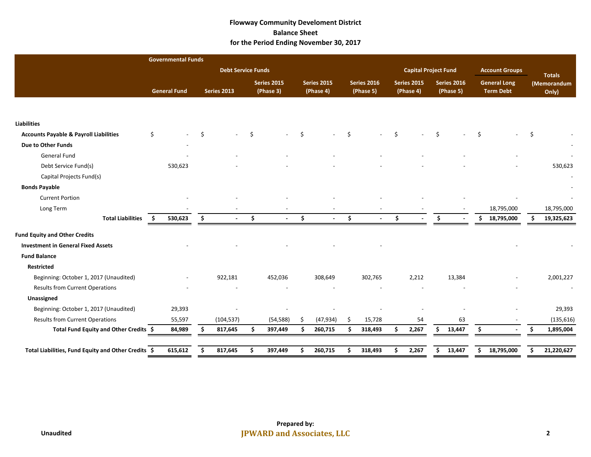### **Flowway Community Develoment District Balance Sheet for the Period Ending November 30, 2017**

|                                                     |    | <b>Governmental Funds</b> |                           |     |                          |    |                          |          |                                 |    |                                 |                             |                                 |     |                                         |    |                      |
|-----------------------------------------------------|----|---------------------------|---------------------------|-----|--------------------------|----|--------------------------|----------|---------------------------------|----|---------------------------------|-----------------------------|---------------------------------|-----|-----------------------------------------|----|----------------------|
|                                                     |    |                           | <b>Debt Service Funds</b> |     |                          |    |                          |          |                                 |    |                                 | <b>Capital Project Fund</b> |                                 |     | <b>Account Groups</b>                   |    | <b>Totals</b>        |
|                                                     |    | <b>General Fund</b>       | <b>Series 2013</b>        |     | Series 2015<br>(Phase 3) |    | Series 2015<br>(Phase 4) |          | <b>Series 2016</b><br>(Phase 5) |    | <b>Series 2015</b><br>(Phase 4) |                             | <b>Series 2016</b><br>(Phase 5) |     | <b>General Long</b><br><b>Term Debt</b> |    | (Memorandum<br>Only) |
|                                                     |    |                           |                           |     |                          |    |                          |          |                                 |    |                                 |                             |                                 |     |                                         |    |                      |
| <b>Liabilities</b>                                  |    |                           |                           |     |                          |    |                          |          |                                 |    |                                 |                             |                                 |     |                                         |    |                      |
| <b>Accounts Payable &amp; Payroll Liabilities</b>   | \$ |                           |                           | Š.  |                          | Ś. |                          | <b>S</b> |                                 | Š. |                                 |                             |                                 | .\$ |                                         |    |                      |
| Due to Other Funds                                  |    |                           |                           |     |                          |    |                          |          |                                 |    |                                 |                             |                                 |     |                                         |    |                      |
| General Fund                                        |    |                           |                           |     |                          |    |                          |          |                                 |    |                                 |                             |                                 |     |                                         |    |                      |
| Debt Service Fund(s)                                |    | 530,623                   |                           |     |                          |    |                          |          |                                 |    |                                 |                             |                                 |     |                                         |    | 530,623              |
| Capital Projects Fund(s)                            |    |                           |                           |     |                          |    |                          |          |                                 |    |                                 |                             |                                 |     |                                         |    |                      |
| <b>Bonds Payable</b>                                |    |                           |                           |     |                          |    |                          |          |                                 |    |                                 |                             |                                 |     |                                         |    |                      |
| <b>Current Portion</b>                              |    |                           |                           |     |                          |    |                          |          |                                 |    |                                 |                             |                                 |     |                                         |    |                      |
| Long Term                                           |    |                           |                           |     |                          |    |                          |          |                                 |    |                                 |                             |                                 |     | 18,795,000                              |    | 18,795,000           |
| <b>Total Liabilities</b>                            | Ŝ. | 530,623                   | \$                        | \$  |                          | \$ |                          | \$.      |                                 | Ŝ. |                                 | Ś.                          |                                 | Ś.  | 18,795,000                              | Ŝ. | 19,325,623           |
| <b>Fund Equity and Other Credits</b>                |    |                           |                           |     |                          |    |                          |          |                                 |    |                                 |                             |                                 |     |                                         |    |                      |
| <b>Investment in General Fixed Assets</b>           |    |                           |                           |     |                          |    |                          |          |                                 |    |                                 |                             |                                 |     |                                         |    |                      |
| <b>Fund Balance</b>                                 |    |                           |                           |     |                          |    |                          |          |                                 |    |                                 |                             |                                 |     |                                         |    |                      |
| <b>Restricted</b>                                   |    |                           |                           |     |                          |    |                          |          |                                 |    |                                 |                             |                                 |     |                                         |    |                      |
| Beginning: October 1, 2017 (Unaudited)              |    |                           | 922,181                   |     | 452,036                  |    | 308,649                  |          | 302,765                         |    | 2,212                           |                             | 13,384                          |     |                                         |    | 2,001,227            |
| <b>Results from Current Operations</b>              |    |                           |                           |     |                          |    |                          |          |                                 |    |                                 |                             |                                 |     |                                         |    |                      |
| Unassigned                                          |    |                           |                           |     |                          |    |                          |          |                                 |    |                                 |                             |                                 |     |                                         |    |                      |
| Beginning: October 1, 2017 (Unaudited)              |    | 29,393                    |                           |     |                          |    |                          |          |                                 |    |                                 |                             |                                 |     |                                         |    | 29,393               |
| <b>Results from Current Operations</b>              |    | 55,597                    | (104, 537)                |     | (54, 588)                | Ś. | (47, 934)                | Ś        | 15,728                          |    | 54                              |                             | 63                              |     |                                         |    | (135, 616)           |
| Total Fund Equity and Other Credits \$              |    | 84,989                    | 817,645                   | Ś   | 397,449                  | Ŝ. | 260,715                  | Ś        | 318,493                         | Ŝ. | 2,267                           | S                           | 13,447                          | Ŝ.  |                                         | Ś  | 1,895,004            |
|                                                     |    |                           |                           |     |                          | Ś  |                          | Ś        |                                 |    |                                 |                             |                                 | \$  |                                         | Ś. |                      |
| Total Liabilities, Fund Equity and Other Credits \$ |    | 615,612                   | 817,645                   | \$. | 397,449                  |    | 260,715                  |          | 318,493                         | \$ | 2,267                           | \$                          | 13,447                          |     | 18,795,000                              |    | 21,220,627           |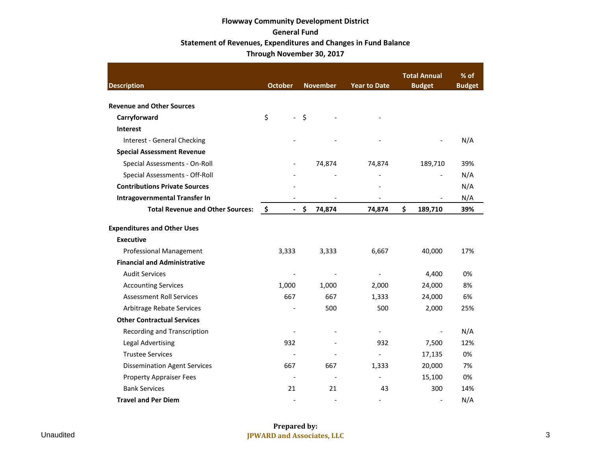# **Flowway Community Development District General Fund Statement of Revenues, Expenditures and Changes in Fund Balance Through November 30, 2017**

| <b>Description</b>                      | <b>October</b>                  | <b>November</b>          | <b>Year to Date</b>      | <b>Total Annual</b><br><b>Budget</b> | % of<br><b>Budget</b> |
|-----------------------------------------|---------------------------------|--------------------------|--------------------------|--------------------------------------|-----------------------|
| <b>Revenue and Other Sources</b>        |                                 |                          |                          |                                      |                       |
| Carryforward                            | \$<br>$\mathbb{L}^{\mathbb{N}}$ | \$                       |                          |                                      |                       |
| <b>Interest</b>                         |                                 |                          |                          |                                      |                       |
| Interest - General Checking             |                                 |                          |                          |                                      | N/A                   |
| <b>Special Assessment Revenue</b>       |                                 |                          |                          |                                      |                       |
| Special Assessments - On-Roll           |                                 | 74,874                   | 74,874                   | 189,710                              | 39%                   |
| Special Assessments - Off-Roll          |                                 |                          |                          |                                      | N/A                   |
| <b>Contributions Private Sources</b>    |                                 |                          |                          |                                      | N/A                   |
| Intragovernmental Transfer In           |                                 |                          |                          |                                      | N/A                   |
| <b>Total Revenue and Other Sources:</b> | -\$<br>$\blacksquare$           | \$<br>74,874             | 74,874                   | \$<br>189,710                        | 39%                   |
| <b>Expenditures and Other Uses</b>      |                                 |                          |                          |                                      |                       |
| <b>Executive</b>                        |                                 |                          |                          |                                      |                       |
| <b>Professional Management</b>          | 3,333                           | 3,333                    | 6,667                    | 40,000                               | 17%                   |
| <b>Financial and Administrative</b>     |                                 |                          |                          |                                      |                       |
| <b>Audit Services</b>                   |                                 |                          |                          | 4,400                                | 0%                    |
| <b>Accounting Services</b>              | 1,000                           | 1,000                    | 2,000                    | 24,000                               | 8%                    |
| <b>Assessment Roll Services</b>         | 667                             | 667                      | 1,333                    | 24,000                               | 6%                    |
| Arbitrage Rebate Services               |                                 | 500                      | 500                      | 2,000                                | 25%                   |
| <b>Other Contractual Services</b>       |                                 |                          |                          |                                      |                       |
| Recording and Transcription             |                                 |                          |                          |                                      | N/A                   |
| <b>Legal Advertising</b>                | 932                             |                          | 932                      | 7,500                                | 12%                   |
| <b>Trustee Services</b>                 |                                 |                          |                          | 17,135                               | 0%                    |
| <b>Dissemination Agent Services</b>     | 667                             | 667                      | 1,333                    | 20,000                               | 7%                    |
| <b>Property Appraiser Fees</b>          |                                 |                          |                          | 15,100                               | 0%                    |
| <b>Bank Services</b>                    | 21                              | 21                       | 43                       | 300                                  | 14%                   |
| <b>Travel and Per Diem</b>              | $\blacksquare$                  | $\overline{\phantom{a}}$ | $\overline{\phantom{a}}$ |                                      | N/A                   |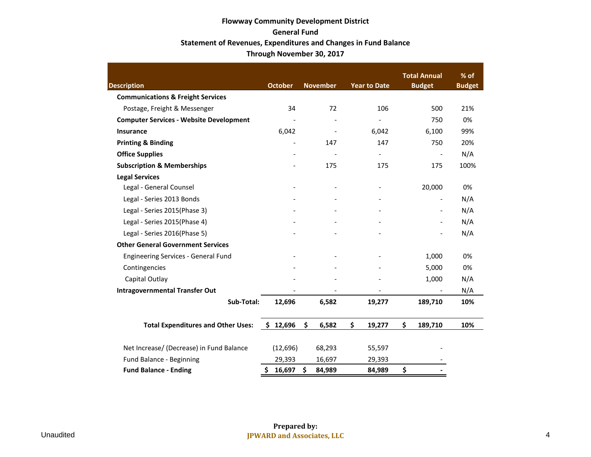# **Flowway Community Development District General Fund Statement of Revenues, Expenditures and Changes in Fund Balance Through November 30, 2017**

|                                                |                |                          |                          | <b>Total Annual</b>      | % of          |
|------------------------------------------------|----------------|--------------------------|--------------------------|--------------------------|---------------|
| <b>Description</b>                             | <b>October</b> | <b>November</b>          | <b>Year to Date</b>      | <b>Budget</b>            | <b>Budget</b> |
| <b>Communications &amp; Freight Services</b>   |                |                          |                          |                          |               |
| Postage, Freight & Messenger                   | 34             | 72                       | 106                      | 500                      | 21%           |
| <b>Computer Services - Website Development</b> |                |                          | $\overline{a}$           | 750                      | 0%            |
| Insurance                                      | 6,042          | $\overline{\phantom{0}}$ | 6,042                    | 6,100                    | 99%           |
| <b>Printing &amp; Binding</b>                  |                | 147                      | 147                      | 750                      | 20%           |
| <b>Office Supplies</b>                         |                |                          | $\overline{\phantom{a}}$ | $\overline{\phantom{a}}$ | N/A           |
| <b>Subscription &amp; Memberships</b>          |                | 175                      | 175                      | 175                      | 100%          |
| <b>Legal Services</b>                          |                |                          |                          |                          |               |
| Legal - General Counsel                        |                |                          |                          | 20,000                   | 0%            |
| Legal - Series 2013 Bonds                      |                |                          |                          | $\blacksquare$           | N/A           |
| Legal - Series 2015(Phase 3)                   |                |                          |                          | $\overline{\phantom{a}}$ | N/A           |
| Legal - Series 2015(Phase 4)                   |                |                          |                          |                          | N/A           |
| Legal - Series 2016(Phase 5)                   |                |                          |                          |                          | N/A           |
| <b>Other General Government Services</b>       |                |                          |                          |                          |               |
| <b>Engineering Services - General Fund</b>     |                |                          |                          | 1,000                    | 0%            |
| Contingencies                                  |                |                          |                          | 5,000                    | 0%            |
| Capital Outlay                                 |                |                          |                          | 1,000                    | N/A           |
| <b>Intragovernmental Transfer Out</b>          |                |                          |                          |                          | N/A           |
| Sub-Total:                                     | 12,696         | 6,582                    | 19,277                   | 189,710                  | 10%           |
| <b>Total Expenditures and Other Uses:</b>      | \$12,696       | \$<br>6,582              | \$<br>19,277             | \$<br>189,710            | 10%           |
| Net Increase/ (Decrease) in Fund Balance       | (12, 696)      | 68,293                   | 55,597                   |                          |               |
| Fund Balance - Beginning                       | 29,393         | 16,697                   | 29,393                   |                          |               |
| <b>Fund Balance - Ending</b>                   | Ś.<br>16,697   | \$<br>84,989             | 84,989                   | \$                       |               |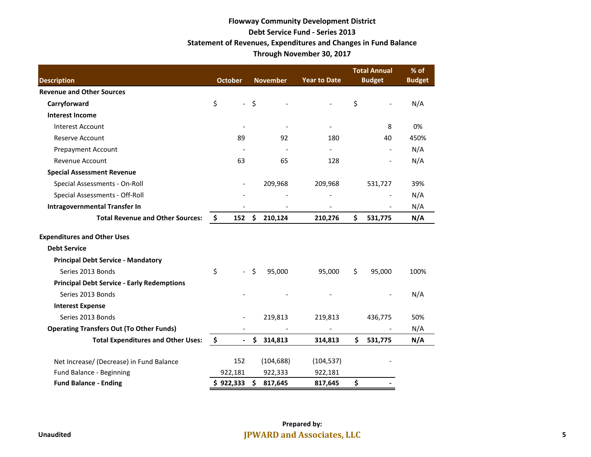# **Flowway Community Development District Debt Service Fund - Series 2013 Statement of Revenues, Expenditures and Changes in Fund Balance Through November 30, 2017**

| <b>Description</b>                                | <b>October</b><br><b>November</b><br><b>Year to Date</b> |                            | <b>Total Annual</b><br><b>Budget</b> | % of<br><b>Budget</b>    |                      |      |
|---------------------------------------------------|----------------------------------------------------------|----------------------------|--------------------------------------|--------------------------|----------------------|------|
| <b>Revenue and Other Sources</b>                  |                                                          |                            |                                      |                          |                      |      |
| Carryforward                                      | \$                                                       | $\equiv$                   | \$                                   | $\overline{a}$           | \$<br>$\overline{a}$ | N/A  |
| <b>Interest Income</b>                            |                                                          |                            |                                      |                          |                      |      |
| <b>Interest Account</b>                           |                                                          |                            |                                      | $\overline{\phantom{a}}$ | 8                    | 0%   |
| <b>Reserve Account</b>                            |                                                          | 89                         | 92                                   | 180                      | 40                   | 450% |
| <b>Prepayment Account</b>                         |                                                          |                            |                                      | $\overline{\phantom{a}}$ |                      | N/A  |
| Revenue Account                                   |                                                          | 63                         | 65                                   | 128                      | $\overline{a}$       | N/A  |
| <b>Special Assessment Revenue</b>                 |                                                          |                            |                                      |                          |                      |      |
| Special Assessments - On-Roll                     |                                                          |                            | 209,968                              | 209,968                  | 531,727              | 39%  |
| Special Assessments - Off-Roll                    |                                                          |                            |                                      |                          |                      | N/A  |
| <b>Intragovernmental Transfer In</b>              |                                                          |                            |                                      |                          |                      | N/A  |
| <b>Total Revenue and Other Sources:</b>           | \$                                                       | 152                        | \$<br>210,124                        | 210,276                  | \$<br>531,775        | N/A  |
| <b>Expenditures and Other Uses</b>                |                                                          |                            |                                      |                          |                      |      |
| <b>Debt Service</b>                               |                                                          |                            |                                      |                          |                      |      |
| <b>Principal Debt Service - Mandatory</b>         |                                                          |                            |                                      |                          |                      |      |
| Series 2013 Bonds                                 | \$                                                       | $\mathcal{L}^{\text{max}}$ | \$<br>95,000                         | 95,000                   | \$<br>95,000         | 100% |
| <b>Principal Debt Service - Early Redemptions</b> |                                                          |                            |                                      |                          |                      |      |
| Series 2013 Bonds                                 |                                                          |                            |                                      |                          |                      | N/A  |
| <b>Interest Expense</b>                           |                                                          |                            |                                      |                          |                      |      |
| Series 2013 Bonds                                 |                                                          |                            | 219,813                              | 219,813                  | 436,775              | 50%  |
| <b>Operating Transfers Out (To Other Funds)</b>   |                                                          |                            |                                      | $\overline{\phantom{a}}$ |                      | N/A  |
| <b>Total Expenditures and Other Uses:</b>         | \$                                                       | $\overline{\phantom{a}}$   | \$<br>314,813                        | 314,813                  | \$<br>531,775        | N/A  |
| Net Increase/ (Decrease) in Fund Balance          |                                                          | 152                        | (104, 688)                           | (104, 537)               |                      |      |
| Fund Balance - Beginning                          |                                                          | 922,181                    | 922,333                              | 922,181                  |                      |      |
| <b>Fund Balance - Ending</b>                      |                                                          | \$922,333                  | \$<br>817,645                        | 817,645                  | \$                   |      |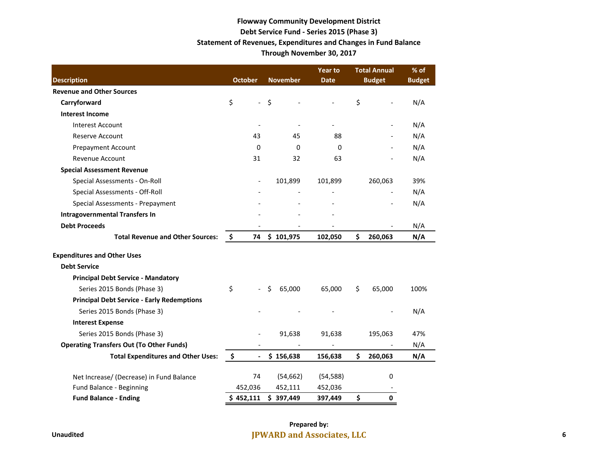## **Flowway Community Development District Debt Service Fund - Series 2015 (Phase 3) Statement of Revenues, Expenditures and Changes in Fund Balance Through November 30, 2017**

|                                                   | <b>October</b><br><b>November</b> |                          | <b>Year to</b> | <b>Total Annual</b>      | $%$ of                   |                          |               |
|---------------------------------------------------|-----------------------------------|--------------------------|----------------|--------------------------|--------------------------|--------------------------|---------------|
| <b>Description</b>                                |                                   |                          |                |                          | <b>Date</b>              | <b>Budget</b>            | <b>Budget</b> |
| <b>Revenue and Other Sources</b>                  |                                   |                          |                |                          |                          |                          |               |
| Carryforward                                      | \$                                | $\overline{\phantom{a}}$ | $\zeta$        |                          |                          | \$<br>$\overline{a}$     | N/A           |
| <b>Interest Income</b>                            |                                   |                          |                |                          |                          |                          |               |
| <b>Interest Account</b>                           |                                   | $\overline{\phantom{a}}$ |                | $\overline{\phantom{a}}$ | $\overline{\phantom{0}}$ |                          | N/A           |
| Reserve Account                                   |                                   | 43                       |                | 45                       | 88                       |                          | N/A           |
| <b>Prepayment Account</b>                         |                                   | $\Omega$                 |                | $\Omega$                 | 0                        |                          | N/A           |
| <b>Revenue Account</b>                            |                                   | 31                       |                | 32                       | 63                       |                          | N/A           |
| <b>Special Assessment Revenue</b>                 |                                   |                          |                |                          |                          |                          |               |
| Special Assessments - On-Roll                     |                                   |                          |                | 101,899                  | 101,899                  | 260,063                  | 39%           |
| Special Assessments - Off-Roll                    |                                   |                          |                |                          |                          |                          | N/A           |
| Special Assessments - Prepayment                  |                                   |                          |                |                          |                          | $\overline{\phantom{m}}$ | N/A           |
| <b>Intragovernmental Transfers In</b>             |                                   |                          |                |                          |                          |                          |               |
| <b>Debt Proceeds</b>                              |                                   |                          |                |                          |                          |                          | N/A           |
| <b>Total Revenue and Other Sources:</b>           | $\ddot{\bm{\zeta}}$               | 74                       |                | \$101,975                | 102,050                  | \$<br>260,063            | N/A           |
| <b>Expenditures and Other Uses</b>                |                                   |                          |                |                          |                          |                          |               |
| <b>Debt Service</b>                               |                                   |                          |                |                          |                          |                          |               |
| <b>Principal Debt Service - Mandatory</b>         |                                   |                          |                |                          |                          |                          |               |
| Series 2015 Bonds (Phase 3)                       | \$                                |                          | Ś              | 65,000                   | 65,000                   | \$<br>65,000             | 100%          |
| <b>Principal Debt Service - Early Redemptions</b> |                                   |                          |                |                          |                          |                          |               |
| Series 2015 Bonds (Phase 3)                       |                                   |                          |                |                          |                          |                          | N/A           |
| <b>Interest Expense</b>                           |                                   |                          |                |                          |                          |                          |               |
| Series 2015 Bonds (Phase 3)                       |                                   |                          |                | 91,638                   | 91,638                   | 195,063                  | 47%           |
| <b>Operating Transfers Out (To Other Funds)</b>   |                                   |                          |                |                          |                          |                          | N/A           |
| <b>Total Expenditures and Other Uses:</b>         | \$                                | $\overline{\phantom{a}}$ |                | \$156,638                | 156,638                  | \$<br>260,063            | N/A           |
| Net Increase/ (Decrease) in Fund Balance          |                                   | 74                       |                | (54, 662)                | (54, 588)                | 0                        |               |
| Fund Balance - Beginning                          |                                   | 452,036                  |                | 452,111                  | 452,036                  |                          |               |
| <b>Fund Balance - Ending</b>                      |                                   | \$452,111                |                | \$397,449                | 397,449                  | \$<br>$\mathbf{0}$       |               |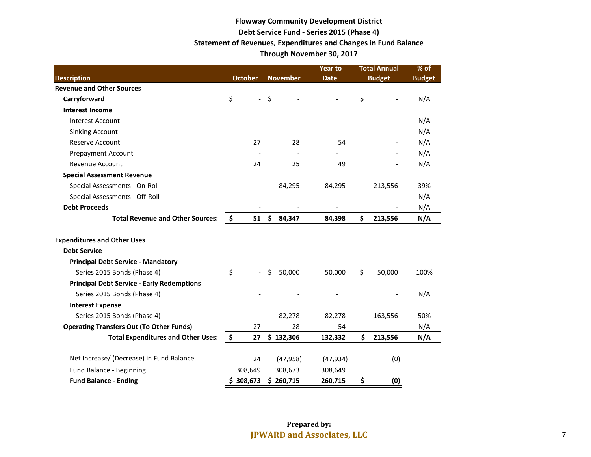# **Flowway Community Development District Debt Service Fund - Series 2015 (Phase 4) Statement of Revenues, Expenditures and Changes in Fund Balance Through November 30, 2017**

|                                                   |                |                          | <b>Year to</b> | <b>Total Annual</b> | % of                     |               |               |
|---------------------------------------------------|----------------|--------------------------|----------------|---------------------|--------------------------|---------------|---------------|
| <b>Description</b>                                | <b>October</b> |                          |                | <b>November</b>     | <b>Date</b>              | <b>Budget</b> | <b>Budget</b> |
| <b>Revenue and Other Sources</b>                  |                |                          |                |                     |                          |               |               |
| Carryforward                                      | \$             | $\frac{1}{2}$            | $\zeta$        |                     | $\overline{\phantom{a}}$ | \$            | N/A           |
| <b>Interest Income</b>                            |                |                          |                |                     |                          |               |               |
| Interest Account                                  |                |                          |                |                     |                          |               | N/A           |
| <b>Sinking Account</b>                            |                |                          |                |                     |                          |               | N/A           |
| <b>Reserve Account</b>                            |                | 27                       |                | 28                  | 54                       |               | N/A           |
| <b>Prepayment Account</b>                         |                |                          |                |                     |                          |               | N/A           |
| <b>Revenue Account</b>                            |                | 24                       |                | 25                  | 49                       |               | N/A           |
| <b>Special Assessment Revenue</b>                 |                |                          |                |                     |                          |               |               |
| Special Assessments - On-Roll                     |                | $\overline{\phantom{a}}$ |                | 84,295              | 84,295                   | 213,556       | 39%           |
| Special Assessments - Off-Roll                    |                |                          |                |                     |                          |               | N/A           |
| <b>Debt Proceeds</b>                              |                |                          |                |                     |                          |               | N/A           |
| <b>Total Revenue and Other Sources:</b>           | \$             | 51                       | \$             | 84,347              | 84,398                   | \$<br>213,556 | N/A           |
| <b>Expenditures and Other Uses</b>                |                |                          |                |                     |                          |               |               |
| <b>Debt Service</b>                               |                |                          |                |                     |                          |               |               |
| <b>Principal Debt Service - Mandatory</b>         |                |                          |                |                     |                          |               |               |
| Series 2015 Bonds (Phase 4)                       | \$             | $\overline{\phantom{a}}$ | \$             | 50,000              | 50,000                   | \$<br>50,000  | 100%          |
| <b>Principal Debt Service - Early Redemptions</b> |                |                          |                |                     |                          |               |               |
| Series 2015 Bonds (Phase 4)                       |                |                          |                |                     |                          |               | N/A           |
| <b>Interest Expense</b>                           |                |                          |                |                     |                          |               |               |
| Series 2015 Bonds (Phase 4)                       |                | $\overline{a}$           |                | 82,278              | 82,278                   | 163,556       | 50%           |
| <b>Operating Transfers Out (To Other Funds)</b>   |                | 27                       |                | 28                  | 54                       |               | N/A           |
| <b>Total Expenditures and Other Uses:</b>         | \$             | 27                       |                | \$132,306           | 132,332                  | \$<br>213,556 | N/A           |
| Net Increase/ (Decrease) in Fund Balance          |                | 24                       |                | (47, 958)           | (47, 934)                | (0)           |               |
| Fund Balance - Beginning                          |                | 308,649                  |                | 308,673             | 308,649                  |               |               |
| <b>Fund Balance - Ending</b>                      | \$308,673      |                          |                | \$260,715           | 260,715                  | \$<br>(0)     |               |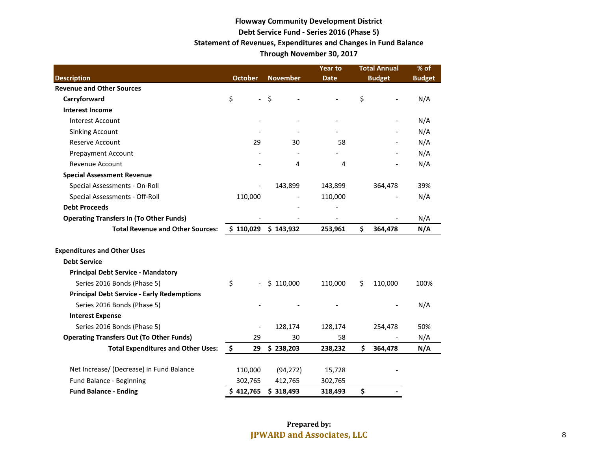# **Flowway Community Development District Debt Service Fund - Series 2016 (Phase 5) Statement of Revenues, Expenditures and Changes in Fund Balance Through November 30, 2017**

|                                                   |                                |                 | <b>Year to</b> | <b>Total Annual</b> | % of          |
|---------------------------------------------------|--------------------------------|-----------------|----------------|---------------------|---------------|
| <b>Description</b>                                | <b>October</b>                 | <b>November</b> | <b>Date</b>    | <b>Budget</b>       | <b>Budget</b> |
| <b>Revenue and Other Sources</b>                  |                                |                 |                |                     |               |
| Carryforward                                      | \$<br>$\overline{\phantom{0}}$ | \$              |                | \$                  | N/A           |
| <b>Interest Income</b>                            |                                |                 |                |                     |               |
| <b>Interest Account</b>                           |                                |                 |                |                     | N/A           |
| <b>Sinking Account</b>                            |                                |                 |                |                     | N/A           |
| <b>Reserve Account</b>                            | 29                             | 30              | 58             |                     | N/A           |
| Prepayment Account                                |                                |                 |                |                     | N/A           |
| Revenue Account                                   |                                | 4               | 4              |                     | N/A           |
| <b>Special Assessment Revenue</b>                 |                                |                 |                |                     |               |
| Special Assessments - On-Roll                     |                                | 143,899         | 143,899        | 364,478             | 39%           |
| Special Assessments - Off-Roll                    | 110,000                        |                 | 110,000        |                     | N/A           |
| <b>Debt Proceeds</b>                              |                                |                 |                |                     |               |
| <b>Operating Transfers In (To Other Funds)</b>    |                                |                 |                |                     | N/A           |
| <b>Total Revenue and Other Sources:</b>           | \$110,029                      | \$143,932       | 253,961        | \$<br>364,478       | N/A           |
| <b>Expenditures and Other Uses</b>                |                                |                 |                |                     |               |
| <b>Debt Service</b>                               |                                |                 |                |                     |               |
| <b>Principal Debt Service - Mandatory</b>         |                                |                 |                |                     |               |
| Series 2016 Bonds (Phase 5)                       | \$<br>$\overline{a}$           | \$110,000       | 110,000        | 110,000<br>\$       | 100%          |
| <b>Principal Debt Service - Early Redemptions</b> |                                |                 |                |                     |               |
| Series 2016 Bonds (Phase 5)                       |                                |                 |                |                     | N/A           |
| <b>Interest Expense</b>                           |                                |                 |                |                     |               |
| Series 2016 Bonds (Phase 5)                       |                                | 128,174         | 128,174        | 254,478             | 50%           |
| <b>Operating Transfers Out (To Other Funds)</b>   | 29                             | 30              | 58             |                     | N/A           |
| <b>Total Expenditures and Other Uses:</b>         | \$<br>29                       | \$238,203       | 238,232        | \$<br>364,478       | N/A           |
| Net Increase/ (Decrease) in Fund Balance          | 110,000                        | (94, 272)       | 15,728         |                     |               |
| Fund Balance - Beginning                          | 302,765                        | 412,765         | 302,765        |                     |               |
| <b>Fund Balance - Ending</b>                      | \$412,765                      | \$318,493       | 318,493        | \$                  |               |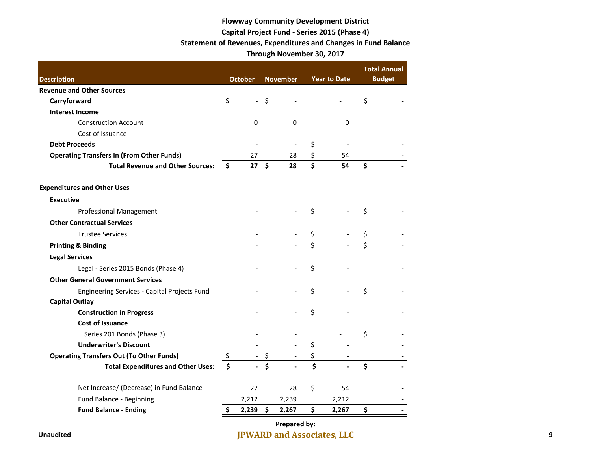# **Flowway Community Development District Capital Project Fund - Series 2015 (Phase 4) Statement of Revenues, Expenditures and Changes in Fund Balance Through November 30, 2017**

| <b>Description</b>                               |                    | <b>October</b> | <b>November</b>      | <b>Year to Date</b>  |    | <b>Total Annual</b><br><b>Budget</b> |
|--------------------------------------------------|--------------------|----------------|----------------------|----------------------|----|--------------------------------------|
| <b>Revenue and Other Sources</b>                 |                    |                |                      |                      |    |                                      |
| Carryforward                                     | \$                 | $\blacksquare$ | \$                   |                      | \$ |                                      |
| <b>Interest Income</b>                           |                    |                |                      |                      |    |                                      |
| <b>Construction Account</b>                      |                    | $\Omega$       | 0                    | 0                    |    |                                      |
| Cost of Issuance                                 |                    |                |                      |                      |    |                                      |
| <b>Debt Proceeds</b>                             |                    |                |                      | \$                   |    |                                      |
| <b>Operating Transfers In (From Other Funds)</b> |                    | 27             | 28                   | \$<br>54             |    |                                      |
| <b>Total Revenue and Other Sources:</b>          | - \$               | 27             | \$<br>28             | \$<br>54             | \$ |                                      |
| <b>Expenditures and Other Uses</b>               |                    |                |                      |                      |    |                                      |
| <b>Executive</b>                                 |                    |                |                      |                      |    |                                      |
| <b>Professional Management</b>                   |                    |                |                      | \$                   | \$ |                                      |
| <b>Other Contractual Services</b>                |                    |                |                      |                      |    |                                      |
| <b>Trustee Services</b>                          |                    |                |                      | \$                   | \$ |                                      |
| <b>Printing &amp; Binding</b>                    |                    |                |                      | \$                   | \$ |                                      |
| <b>Legal Services</b>                            |                    |                |                      |                      |    |                                      |
| Legal - Series 2015 Bonds (Phase 4)              |                    |                |                      | \$                   |    |                                      |
| <b>Other General Government Services</b>         |                    |                |                      |                      |    |                                      |
| Engineering Services - Capital Projects Fund     |                    |                |                      | \$                   | Ś  |                                      |
| <b>Capital Outlay</b>                            |                    |                |                      |                      |    |                                      |
| <b>Construction in Progress</b>                  |                    |                |                      | \$                   |    |                                      |
| <b>Cost of Issuance</b>                          |                    |                |                      |                      |    |                                      |
| Series 201 Bonds (Phase 3)                       |                    |                |                      |                      | \$ |                                      |
| <b>Underwriter's Discount</b>                    |                    |                |                      | \$                   |    |                                      |
| <b>Operating Transfers Out (To Other Funds)</b>  | \$                 |                | \$                   | \$                   |    |                                      |
| <b>Total Expenditures and Other Uses:</b>        | $\hat{\mathsf{S}}$ |                | \$<br>$\overline{a}$ | \$<br>$\blacksquare$ | \$ |                                      |
| Net Increase/ (Decrease) in Fund Balance         |                    | 27             | 28                   | \$<br>54             |    |                                      |
| Fund Balance - Beginning                         |                    | 2,212          | 2,239                | 2,212                |    |                                      |
| <b>Fund Balance - Ending</b>                     | \$                 | 2,239          | \$<br>2,267          | \$<br>2,267          | \$ |                                      |